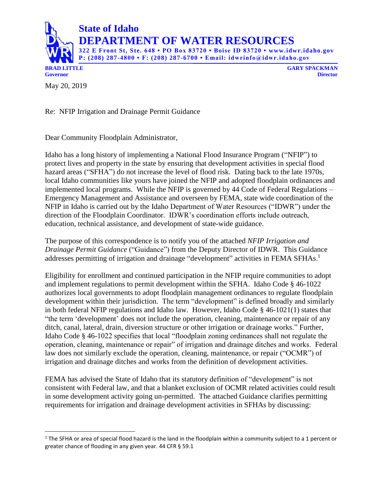

**BRAD LITTLE GARY SPACKMAN**

May 20, 2019

l

Re: NFIP Irrigation and Drainage Permit Guidance

Dear Community Floodplain Administrator,

Idaho has a long history of implementing a National Flood Insurance Program ("NFIP") to protect lives and property in the state by ensuring that development activities in special flood hazard areas ("SFHA") do not increase the level of flood risk. Dating back to the late 1970s, local Idaho communities like yours have joined the NFIP and adopted floodplain ordinances and implemented local programs. While the NFIP is governed by 44 Code of Federal Regulations – Emergency Management and Assistance and overseen by FEMA, state wide coordination of the NFIP in Idaho is carried out by the Idaho Department of Water Resources ("IDWR") under the direction of the Floodplain Coordinator. IDWR's coordination efforts include outreach, education, technical assistance, and development of state-wide guidance.

The purpose of this correspondence is to notify you of the attached *NFIP Irrigation and Drainage Permit Guidance* ("Guidance") from the Deputy Director of IDWR. This Guidance addresses permitting of irrigation and drainage "development" activities in FEMA SFHAs.<sup>1</sup>

Eligibility for enrollment and continued participation in the NFIP require communities to adopt and implement regulations to permit development within the SFHA. Idaho Code § 46-1022 authorizes local governments to adopt floodplain management ordinances to regulate floodplain development within their jurisdiction. The term "development" is defined broadly and similarly in both federal NFIP regulations and Idaho law. However, Idaho Code § 46-1021(1) states that "the term 'development' does not include the operation, cleaning, maintenance or repair of any ditch, canal, lateral, drain, diversion structure or other irrigation or drainage works." Further, Idaho Code § 46-1022 specifies that local "floodplain zoning ordinances shall not regulate the operation, cleaning, maintenance or repair" of irrigation and drainage ditches and works. Federal law does not similarly exclude the operation, cleaning, maintenance, or repair ("OCMR") of irrigation and drainage ditches and works from the definition of development activities.

FEMA has advised the State of Idaho that its statutory definition of "development" is not consistent with Federal law, and that a blanket exclusion of OCMR related activities could result in some development activity going un-permitted. The attached Guidance clarifies permitting requirements for irrigation and drainage development activities in SFHAs by discussing:

 $1$  The SFHA or area of special flood hazard is the land in the floodplain within a community subject to a 1 percent or greater chance of flooding in any given year. 44 CFR § 59.1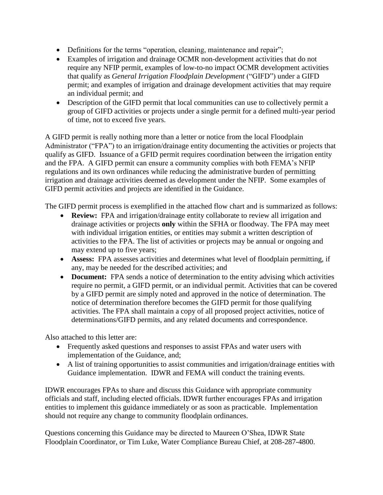- Definitions for the terms "operation, cleaning, maintenance and repair";
- Examples of irrigation and drainage OCMR non-development activities that do not require any NFIP permit, examples of low-to-no impact OCMR development activities that qualify as *General Irrigation Floodplain Development* ("GIFD") under a GIFD permit; and examples of irrigation and drainage development activities that may require an individual permit; and
- Description of the GIFD permit that local communities can use to collectively permit a group of GIFD activities or projects under a single permit for a defined multi-year period of time, not to exceed five years.

A GIFD permit is really nothing more than a letter or notice from the local Floodplain Administrator ("FPA") to an irrigation/drainage entity documenting the activities or projects that qualify as GIFD. Issuance of a GFID permit requires coordination between the irrigation entity and the FPA. A GIFD permit can ensure a community complies with both FEMA's NFIP regulations and its own ordinances while reducing the administrative burden of permitting irrigation and drainage activities deemed as development under the NFIP. Some examples of GIFD permit activities and projects are identified in the Guidance.

The GIFD permit process is exemplified in the attached flow chart and is summarized as follows:

- **Review:** FPA and irrigation/drainage entity collaborate to review all irrigation and drainage activities or projects **only** within the SFHA or floodway. The FPA may meet with individual irrigation entities, or entities may submit a written description of activities to the FPA. The list of activities or projects may be annual or ongoing and may extend up to five years;
- **Assess:** FPA assesses activities and determines what level of floodplain permitting, if any, may be needed for the described activities; and
- **Document:** FPA sends a notice of determination to the entity advising which activities require no permit, a GIFD permit, or an individual permit. Activities that can be covered by a GIFD permit are simply noted and approved in the notice of determination. The notice of determination therefore becomes the GIFD permit for those qualifying activities. The FPA shall maintain a copy of all proposed project activities, notice of determinations/GIFD permits, and any related documents and correspondence.

Also attached to this letter are:

- Frequently asked questions and responses to assist FPAs and water users with implementation of the Guidance, and;
- A list of training opportunities to assist communities and irrigation/drainage entities with Guidance implementation. IDWR and FEMA will conduct the training events.

IDWR encourages FPAs to share and discuss this Guidance with appropriate community officials and staff, including elected officials. IDWR further encourages FPAs and irrigation entities to implement this guidance immediately or as soon as practicable. Implementation should not require any change to community floodplain ordinances.

Questions concerning this Guidance may be directed to Maureen O'Shea, IDWR State Floodplain Coordinator, or Tim Luke, Water Compliance Bureau Chief, at 208-287-4800.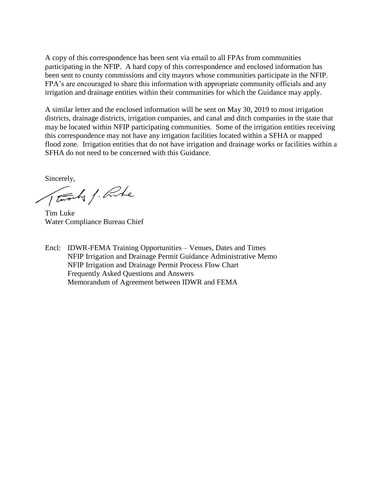A copy of this correspondence has been sent via email to all FPAs from communities participating in the NFIP. A hard copy of this correspondence and enclosed information has been sent to county commissions and city mayors whose communities participate in the NFIP. FPA's are encouraged to share this information with appropriate community officials and any irrigation and drainage entities within their communities for which the Guidance may apply.

A similar letter and the enclosed information will be sent on May 30, 2019 to most irrigation districts, drainage districts, irrigation companies, and canal and ditch companies in the state that may be located within NFIP participating communities. Some of the irrigation entities receiving this correspondence may not have any irrigation facilities located within a SFHA or mapped flood zone. Irrigation entities that do not have irrigation and drainage works or facilities within a SFHA do not need to be concerned with this Guidance.

Sincerely,

Tworks / Rute

Tim Luke Water Compliance Bureau Chief

Encl: IDWR-FEMA Training Opportunities – Venues, Dates and Times NFIP Irrigation and Drainage Permit Guidance Administrative Memo NFIP Irrigation and Drainage Permit Process Flow Chart Frequently Asked Questions and Answers Memorandum of Agreement between IDWR and FEMA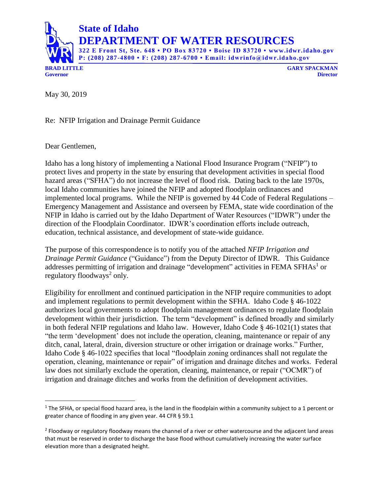

**DEPARTMENT OF WATER RESOURCES**

**322 E Front St, Ste. 648 • PO Box 83720 • Boise ID 83720 • www.idwr.idaho.gov P: (208) 287-4800 • F: (208) 287-6700 • Email: idwrinfo@idwr.idaho.gov**

**Governor Director**

May 30, 2019

Re: NFIP Irrigation and Drainage Permit Guidance

Dear Gentlemen,

 $\overline{a}$ 

Idaho has a long history of implementing a National Flood Insurance Program ("NFIP") to protect lives and property in the state by ensuring that development activities in special flood hazard areas ("SFHA") do not increase the level of flood risk. Dating back to the late 1970s, local Idaho communities have joined the NFIP and adopted floodplain ordinances and implemented local programs. While the NFIP is governed by 44 Code of Federal Regulations – Emergency Management and Assistance and overseen by FEMA, state wide coordination of the NFIP in Idaho is carried out by the Idaho Department of Water Resources ("IDWR") under the direction of the Floodplain Coordinator. IDWR's coordination efforts include outreach, education, technical assistance, and development of state-wide guidance.

The purpose of this correspondence is to notify you of the attached *NFIP Irrigation and Drainage Permit Guidance* ("Guidance") from the Deputy Director of IDWR. This Guidance addresses permitting of irrigation and drainage "development" activities in FEMA SFHAs<sup>1</sup> or regulatory floodways<sup>2</sup> only.

Eligibility for enrollment and continued participation in the NFIP require communities to adopt and implement regulations to permit development within the SFHA. Idaho Code § 46-1022 authorizes local governments to adopt floodplain management ordinances to regulate floodplain development within their jurisdiction. The term "development" is defined broadly and similarly in both federal NFIP regulations and Idaho law. However, Idaho Code § 46-1021(1) states that "the term 'development' does not include the operation, cleaning, maintenance or repair of any ditch, canal, lateral, drain, diversion structure or other irrigation or drainage works." Further, Idaho Code § 46-1022 specifies that local "floodplain zoning ordinances shall not regulate the operation, cleaning, maintenance or repair" of irrigation and drainage ditches and works. Federal law does not similarly exclude the operation, cleaning, maintenance, or repair ("OCMR") of irrigation and drainage ditches and works from the definition of development activities.

 $1$  The SFHA, or special flood hazard area, is the land in the floodplain within a community subject to a 1 percent or greater chance of flooding in any given year. 44 CFR § 59.1

<sup>&</sup>lt;sup>2</sup> Floodway or regulatory floodway means the channel of a river or other watercourse and the adjacent land areas that must be reserved in order to discharge the base flood without cumulatively increasing the water surface elevation more than a designated height.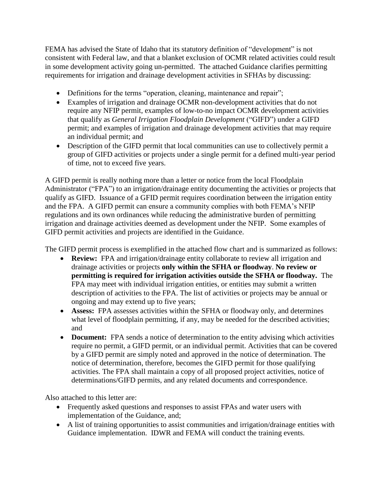FEMA has advised the State of Idaho that its statutory definition of "development" is not consistent with Federal law, and that a blanket exclusion of OCMR related activities could result in some development activity going un-permitted. The attached Guidance clarifies permitting requirements for irrigation and drainage development activities in SFHAs by discussing:

- Definitions for the terms "operation, cleaning, maintenance and repair";
- Examples of irrigation and drainage OCMR non-development activities that do not require any NFIP permit, examples of low-to-no impact OCMR development activities that qualify as *General Irrigation Floodplain Development* ("GIFD") under a GIFD permit; and examples of irrigation and drainage development activities that may require an individual permit; and
- Description of the GIFD permit that local communities can use to collectively permit a group of GIFD activities or projects under a single permit for a defined multi-year period of time, not to exceed five years.

A GIFD permit is really nothing more than a letter or notice from the local Floodplain Administrator ("FPA") to an irrigation/drainage entity documenting the activities or projects that qualify as GIFD. Issuance of a GFID permit requires coordination between the irrigation entity and the FPA. A GIFD permit can ensure a community complies with both FEMA's NFIP regulations and its own ordinances while reducing the administrative burden of permitting irrigation and drainage activities deemed as development under the NFIP. Some examples of GIFD permit activities and projects are identified in the Guidance.

The GIFD permit process is exemplified in the attached flow chart and is summarized as follows:

- **Review:** FPA and irrigation/drainage entity collaborate to review all irrigation and drainage activities or projects **only within the SFHA or floodway**. **No review or permitting is required for irrigation activities outside the SFHA or floodway.** The FPA may meet with individual irrigation entities, or entities may submit a written description of activities to the FPA. The list of activities or projects may be annual or ongoing and may extend up to five years;
- **Assess:** FPA assesses activities within the SFHA or floodway only, and determines what level of floodplain permitting, if any, may be needed for the described activities; and
- **Document:** FPA sends a notice of determination to the entity advising which activities require no permit, a GIFD permit, or an individual permit. Activities that can be covered by a GIFD permit are simply noted and approved in the notice of determination. The notice of determination, therefore, becomes the GIFD permit for those qualifying activities. The FPA shall maintain a copy of all proposed project activities, notice of determinations/GIFD permits, and any related documents and correspondence.

Also attached to this letter are:

- Frequently asked questions and responses to assist FPAs and water users with implementation of the Guidance, and;
- A list of training opportunities to assist communities and irrigation/drainage entities with Guidance implementation. IDWR and FEMA will conduct the training events.